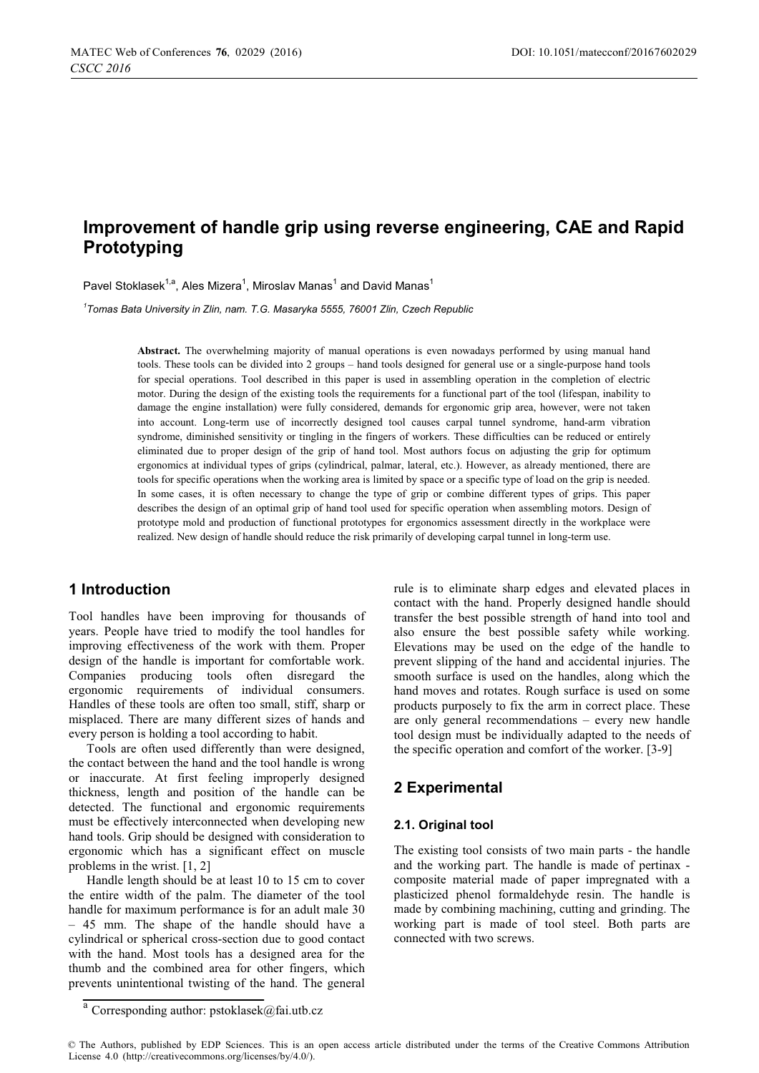# **Improvement of handle grip using reverse engineering, CAE and Rapid Prototyping**

Pavel Stoklasek<sup>1,a</sup>, Ales Mizera<sup>1</sup>, Miroslav Manas<sup>1</sup> and David Manas<sup>1</sup>

*1 Tomas Bata University in Zlin, nam. T.G. Masaryka 5555, 76001 Zlin, Czech Republic* 

**Abstract.** The overwhelming majority of manual operations is even nowadays performed by using manual hand tools. These tools can be divided into 2 groups – hand tools designed for general use or a single-purpose hand tools for special operations. Tool described in this paper is used in assembling operation in the completion of electric motor. During the design of the existing tools the requirements for a functional part of the tool (lifespan, inability to damage the engine installation) were fully considered, demands for ergonomic grip area, however, were not taken into account. Long-term use of incorrectly designed tool causes carpal tunnel syndrome, hand-arm vibration syndrome, diminished sensitivity or tingling in the fingers of workers. These difficulties can be reduced or entirely eliminated due to proper design of the grip of hand tool. Most authors focus on adjusting the grip for optimum ergonomics at individual types of grips (cylindrical, palmar, lateral, etc.). However, as already mentioned, there are tools for specific operations when the working area is limited by space or a specific type of load on the grip is needed. In some cases, it is often necessary to change the type of grip or combine different types of grips. This paper describes the design of an optimal grip of hand tool used for specific operation when assembling motors. Design of prototype mold and production of functional prototypes for ergonomics assessment directly in the workplace were realized. New design of handle should reduce the risk primarily of developing carpal tunnel in long-term use.

## **1 Introduction**

Tool handles have been improving for thousands of years. People have tried to modify the tool handles for improving effectiveness of the work with them. Proper design of the handle is important for comfortable work. Companies producing tools often disregard the ergonomic requirements of individual consumers. Handles of these tools are often too small, stiff, sharp or misplaced. There are many different sizes of hands and every person is holding a tool according to habit.

Tools are often used differently than were designed, the contact between the hand and the tool handle is wrong or inaccurate. At first feeling improperly designed thickness, length and position of the handle can be detected. The functional and ergonomic requirements must be effectively interconnected when developing new hand tools. Grip should be designed with consideration to ergonomic which has a significant effect on muscle problems in the wrist. [1, 2]

Handle length should be at least 10 to 15 cm to cover the entire width of the palm. The diameter of the tool handle for maximum performance is for an adult male 30 – 45 mm. The shape of the handle should have a cylindrical or spherical cross-section due to good contact with the hand. Most tools has a designed area for the thumb and the combined area for other fingers, which prevents unintentional twisting of the hand. The general

rule is to eliminate sharp edges and elevated places in contact with the hand. Properly designed handle should transfer the best possible strength of hand into tool and also ensure the best possible safety while working. Elevations may be used on the edge of the handle to prevent slipping of the hand and accidental injuries. The smooth surface is used on the handles, along which the hand moves and rotates. Rough surface is used on some products purposely to fix the arm in correct place. These are only general recommendations – every new handle tool design must be individually adapted to the needs of the specific operation and comfort of the worker. [3-9]

# **2 Experimental**

#### **2.1. Original tool**

The existing tool consists of two main parts - the handle and the working part. The handle is made of pertinax composite material made of paper impregnated with a plasticized phenol formaldehyde resin. The handle is made by combining machining, cutting and grinding. The working part is made of tool steel. Both parts are connected with two screws.

<sup>&</sup>lt;sup>a</sup> Corresponding author: pstoklasek@fai.utb.cz

<sup>©</sup> The Authors, published by EDP Sciences. This is an open access article distributed under the terms of the Creative Commons Attribution License 4.0 (http://creativecommons.org/licenses/by/4.0/).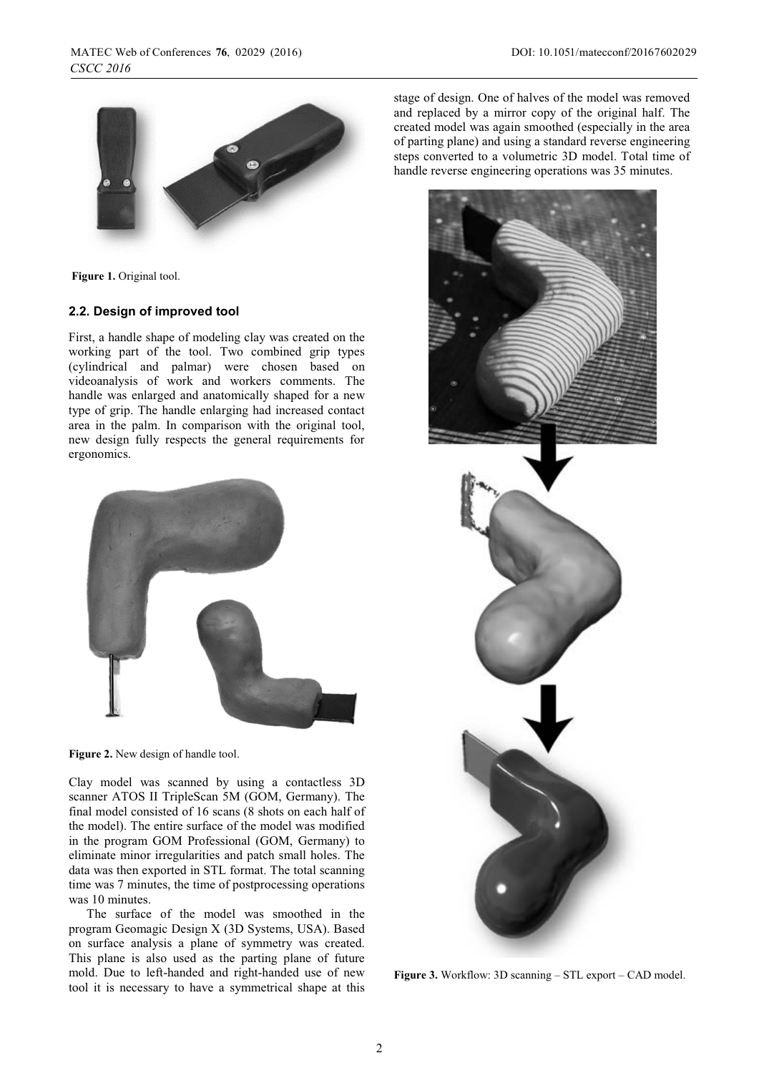

**Figure 1.** Original tool.

#### **2.2. Design of improved tool**

First, a handle shape of modeling clay was created on the working part of the tool. Two combined grip types (cylindrical and palmar) were chosen based on videoanalysis of work and workers comments. The handle was enlarged and anatomically shaped for a new type of grip. The handle enlarging had increased contact area in the palm. In comparison with the original tool, new design fully respects the general requirements for ergonomics.



**Figure 2.** New design of handle tool.

Clay model was scanned by using a contactless 3D scanner ATOS II TripleScan 5M (GOM, Germany). The final model consisted of 16 scans (8 shots on each half of the model). The entire surface of the model was modified in the program GOM Professional (GOM, Germany) to eliminate minor irregularities and patch small holes. The data was then exported in STL format. The total scanning time was 7 minutes, the time of postprocessing operations was 10 minutes.

The surface of the model was smoothed in the program Geomagic Design X (3D Systems, USA). Based on surface analysis a plane of symmetry was created. This plane is also used as the parting plane of future mold. Due to left-handed and right-handed use of new tool it is necessary to have a symmetrical shape at this

stage of design. One of halves of the model was removed and replaced by a mirror copy of the original half. The created model was again smoothed (especially in the area of parting plane) and using a standard reverse engineering steps converted to a volumetric 3D model. Total time of handle reverse engineering operations was 35 minutes.



**Figure 3.** Workflow: 3D scanning – STL export – CAD model.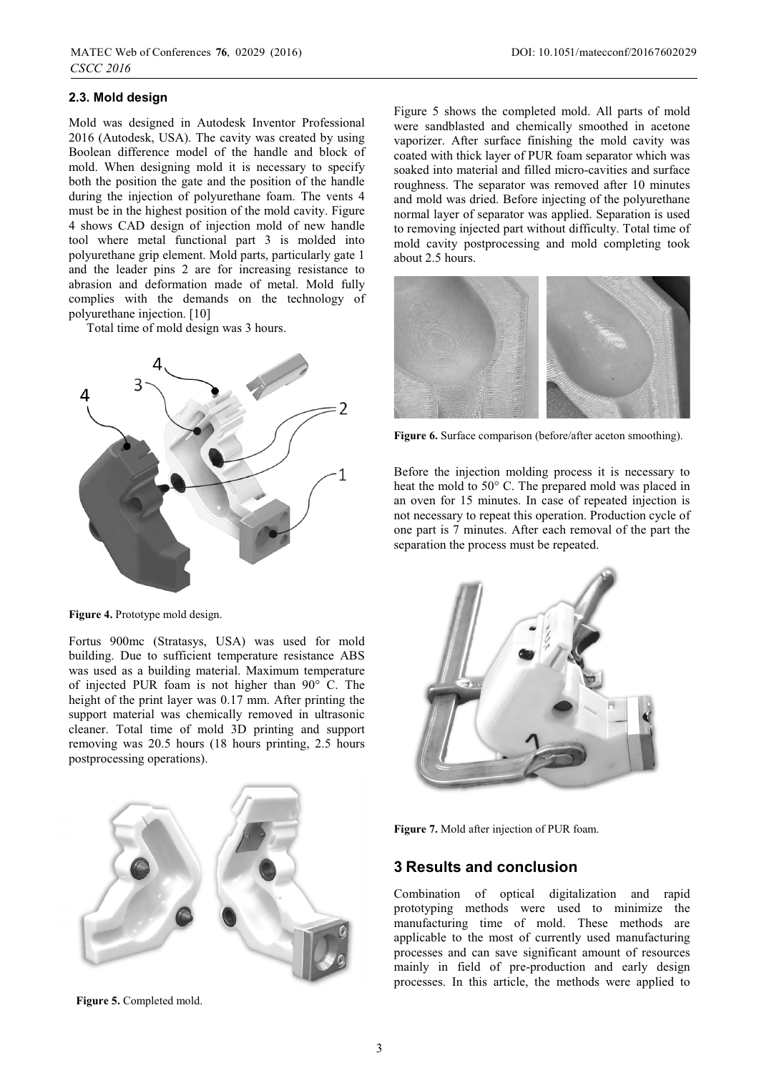#### **2.3. Mold design**

Mold was designed in Autodesk Inventor Professional 2016 (Autodesk, USA). The cavity was created by using Boolean difference model of the handle and block of mold. When designing mold it is necessary to specify both the position the gate and the position of the handle during the injection of polyurethane foam. The vents 4 must be in the highest position of the mold cavity. Figure 4 shows CAD design of injection mold of new handle tool where metal functional part 3 is molded into polyurethane grip element. Mold parts, particularly gate 1 and the leader pins 2 are for increasing resistance to abrasion and deformation made of metal. Mold fully complies with the demands on the technology of polyurethane injection. [10]

Total time of mold design was 3 hours.



**Figure 4.** Prototype mold design.

Fortus 900mc (Stratasys, USA) was used for mold building. Due to sufficient temperature resistance ABS was used as a building material. Maximum temperature of injected PUR foam is not higher than 90° C. The height of the print layer was 0.17 mm. After printing the support material was chemically removed in ultrasonic cleaner. Total time of mold 3D printing and support removing was 20.5 hours (18 hours printing, 2.5 hours postprocessing operations).

Figure 5 shows the completed mold. All parts of mold were sandblasted and chemically smoothed in acetone vaporizer. After surface finishing the mold cavity was coated with thick layer of PUR foam separator which was soaked into material and filled micro-cavities and surface roughness. The separator was removed after 10 minutes and mold was dried. Before injecting of the polyurethane normal layer of separator was applied. Separation is used to removing injected part without difficulty. Total time of mold cavity postprocessing and mold completing took about 2.5 hours.



**Figure 6.** Surface comparison (before/after aceton smoothing).

Before the injection molding process it is necessary to heat the mold to 50° C. The prepared mold was placed in an oven for 15 minutes. In case of repeated injection is not necessary to repeat this operation. Production cycle of one part is 7 minutes. After each removal of the part the separation the process must be repeated.





# **3 Results and conclusion**

Combination of optical digitalization and rapid prototyping methods were used to minimize the manufacturing time of mold. These methods are applicable to the most of currently used manufacturing processes and can save significant amount of resources mainly in field of pre-production and early design processes. In this article, the methods were applied to



**Figure 5.** Completed mold.